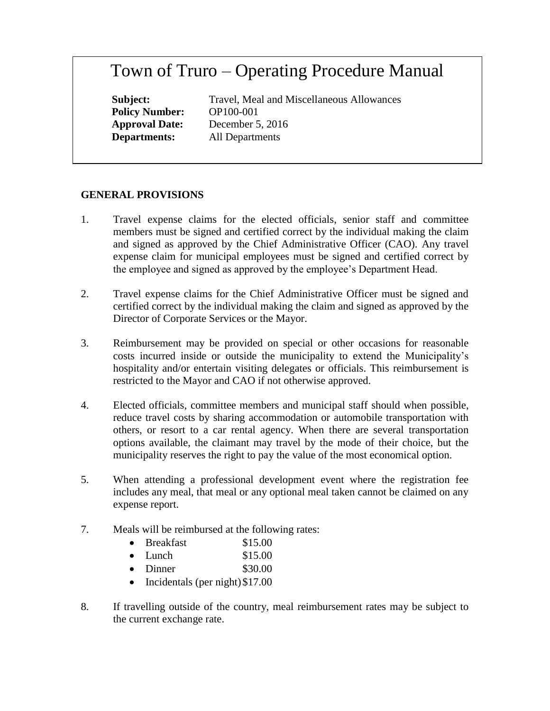## Town of Truro – Operating Procedure Manual

**Policy Number:** OP100-001

**Subject:** Travel, Meal and Miscellaneous Allowances **Approval Date:** December 5, 2016 **Departments:** All Departments

## **GENERAL PROVISIONS**

- 1. Travel expense claims for the elected officials, senior staff and committee members must be signed and certified correct by the individual making the claim and signed as approved by the Chief Administrative Officer (CAO). Any travel expense claim for municipal employees must be signed and certified correct by the employee and signed as approved by the employee's Department Head.
- 2. Travel expense claims for the Chief Administrative Officer must be signed and certified correct by the individual making the claim and signed as approved by the Director of Corporate Services or the Mayor.
- 3. Reimbursement may be provided on special or other occasions for reasonable costs incurred inside or outside the municipality to extend the Municipality's hospitality and/or entertain visiting delegates or officials. This reimbursement is restricted to the Mayor and CAO if not otherwise approved.
- 4. Elected officials, committee members and municipal staff should when possible, reduce travel costs by sharing accommodation or automobile transportation with others, or resort to a car rental agency. When there are several transportation options available, the claimant may travel by the mode of their choice, but the municipality reserves the right to pay the value of the most economical option.
- 5. When attending a professional development event where the registration fee includes any meal, that meal or any optional meal taken cannot be claimed on any expense report.
- 7. Meals will be reimbursed at the following rates:
	- Breakfast \$15.00
	- $\bullet$  Lunch  $$15.00$
	- $\bullet$  Dinner  $$30.00$
	- Incidentals (per night) \$17.00
- 8. If travelling outside of the country, meal reimbursement rates may be subject to the current exchange rate.